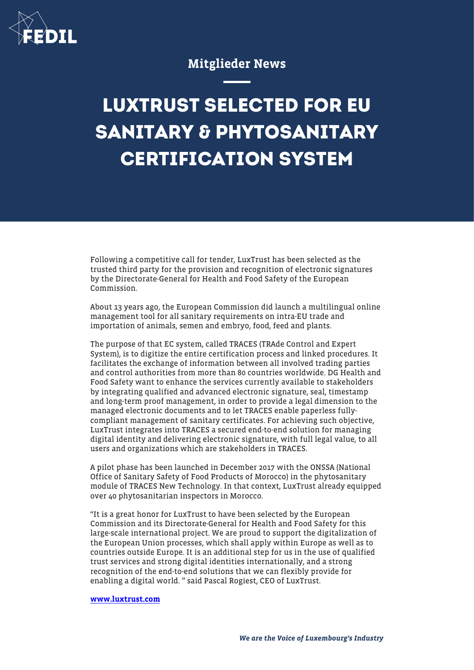

## Mitglieder News

## **LUXTRUST SELECTED FOR EU SANITARY & PHYTOSANITARY CERTIFICATION SYSTEM**

Following a competitive call for tender, LuxTrust has been selected as the trusted third party for the provision and recognition of electronic signatures by the Directorate-General for Health and Food Safety of the European Commission.

About 13 years ago, the European Commission did launch a multilingual online management tool for all sanitary requirements on intra-EU trade and importation of animals, semen and embryo, food, feed and plants.

The purpose of that EC system, called TRACES (TRAde Control and Expert System), is to digitize the entire certification process and linked procedures. It facilitates the exchange of information between all involved trading parties and control authorities from more than 80 countries worldwide. DG Health and Food Safety want to enhance the services currently available to stakeholders by integrating qualified and advanced electronic signature, seal, timestamp and long-term proof management, in order to provide a legal dimension to the managed electronic documents and to let TRACES enable paperless fullycompliant management of sanitary certificates. For achieving such objective, LuxTrust integrates into TRACES a secured end-to-end solution for managing digital identity and delivering electronic signature, with full legal value, to all users and organizations which are stakeholders in TRACES.

A pilot phase has been launched in December 2017 with the ONSSA (National Office of Sanitary Safety of Food Products of Morocco) in the phytosanitary module of TRACES New Technology. In that context, LuxTrust already equipped over 40 phytosanitarian inspectors in Morocco.

"It is a great honor for LuxTrust to have been selected by the European Commission and its Directorate-General for Health and Food Safety for this large-scale international project. We are proud to support the digitalization of the European Union processes, which shall apply within Europe as well as to countries outside Europe. It is an additional step for us in the use of qualified trust services and strong digital identities internationally, and a strong recognition of the end-to-end solutions that we can flexibly provide for enabling a digital world. " said Pascal Rogiest, CEO of LuxTrust.

## [www.luxtrust.com](http://www.luxtrust.com)